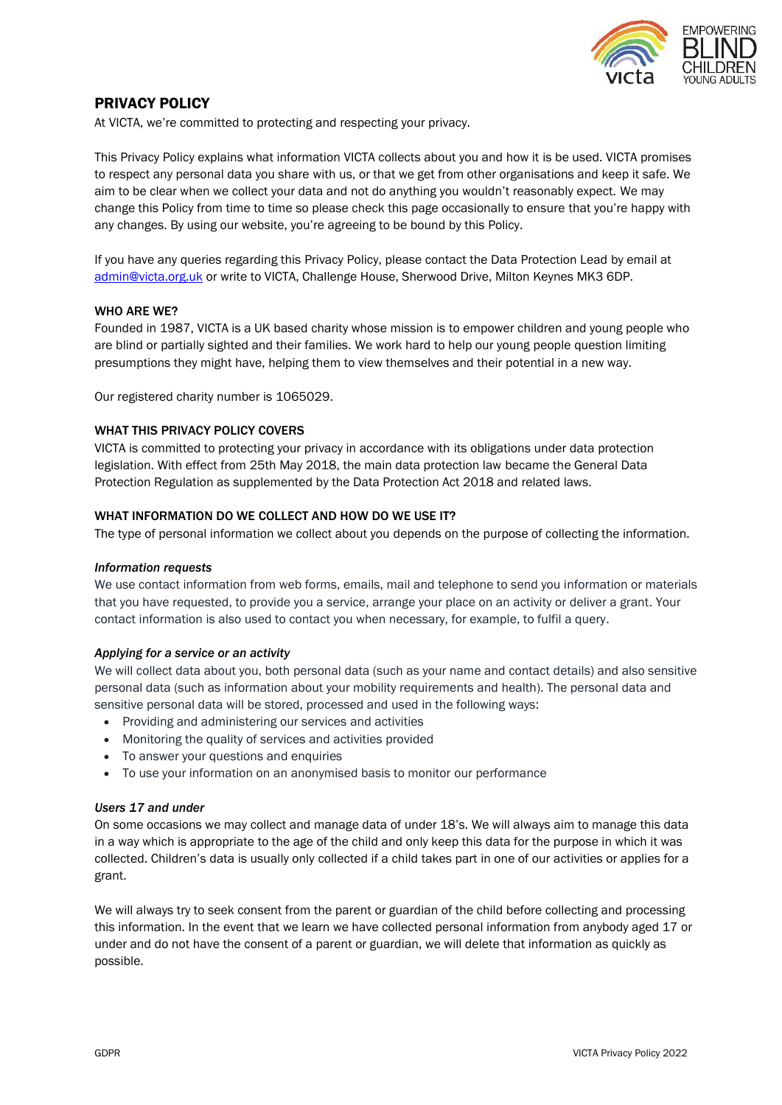

# PRIVACY POLICY

At VICTA, we're committed to protecting and respecting your privacy.

This Privacy Policy explains what information VICTA collects about you and how it is be used. VICTA promises to respect any personal data you share with us, or that we get from other organisations and keep it safe. We aim to be clear when we collect your data and not do anything you wouldn't reasonably expect. We may change this Policy from time to time so please check this page occasionally to ensure that you're happy with any changes. By using our website, you're agreeing to be bound by this Policy.

If you have any queries regarding this Privacy Policy, please contact the Data Protection Lead by email at [admin@victa.org.uk](mailto:admin@victa.org.uk) or write to VICTA, Challenge House, Sherwood Drive, Milton Keynes MK3 6DP.

### WHO ARE WE?

Founded in 1987, VICTA is a UK based charity whose mission is to empower children and young people who are blind or partially sighted and their families. We work hard to help our young people question limiting presumptions they might have, helping them to view themselves and their potential in a new way.

Our registered charity number is 1065029.

### WHAT THIS PRIVACY POLICY COVERS

VICTA is committed to protecting your privacy in accordance with its obligations under data protection legislation. With effect from 25th May 2018, the main data protection law became the General Data Protection Regulation as supplemented by the Data Protection Act 2018 and related laws.

### WHAT INFORMATION DO WE COLLECT AND HOW DO WE USE IT?

The type of personal information we collect about you depends on the purpose of collecting the information.

#### *Information requests*

We use contact information from web forms, emails, mail and telephone to send you information or materials that you have requested, to provide you a service, arrange your place on an activity or deliver a grant. Your contact information is also used to contact you when necessary, for example, to fulfil a query.

#### *Applying for a service or an activity*

We will collect data about you, both personal data (such as your name and contact details) and also sensitive personal data (such as information about your mobility requirements and health). The personal data and sensitive personal data will be stored, processed and used in the following ways:

- Providing and administering our services and activities
- Monitoring the quality of services and activities provided
- To answer your questions and enquiries
- To use your information on an anonymised basis to monitor our performance

#### *Users 17 and under*

On some occasions we may collect and manage data of under 18's. We will always aim to manage this data in a way which is appropriate to the age of the child and only keep this data for the purpose in which it was collected. Children's data is usually only collected if a child takes part in one of our activities or applies for a grant.

We will always try to seek consent from the parent or guardian of the child before collecting and processing this information. In the event that we learn we have collected personal information from anybody aged 17 or under and do not have the consent of a parent or guardian, we will delete that information as quickly as possible.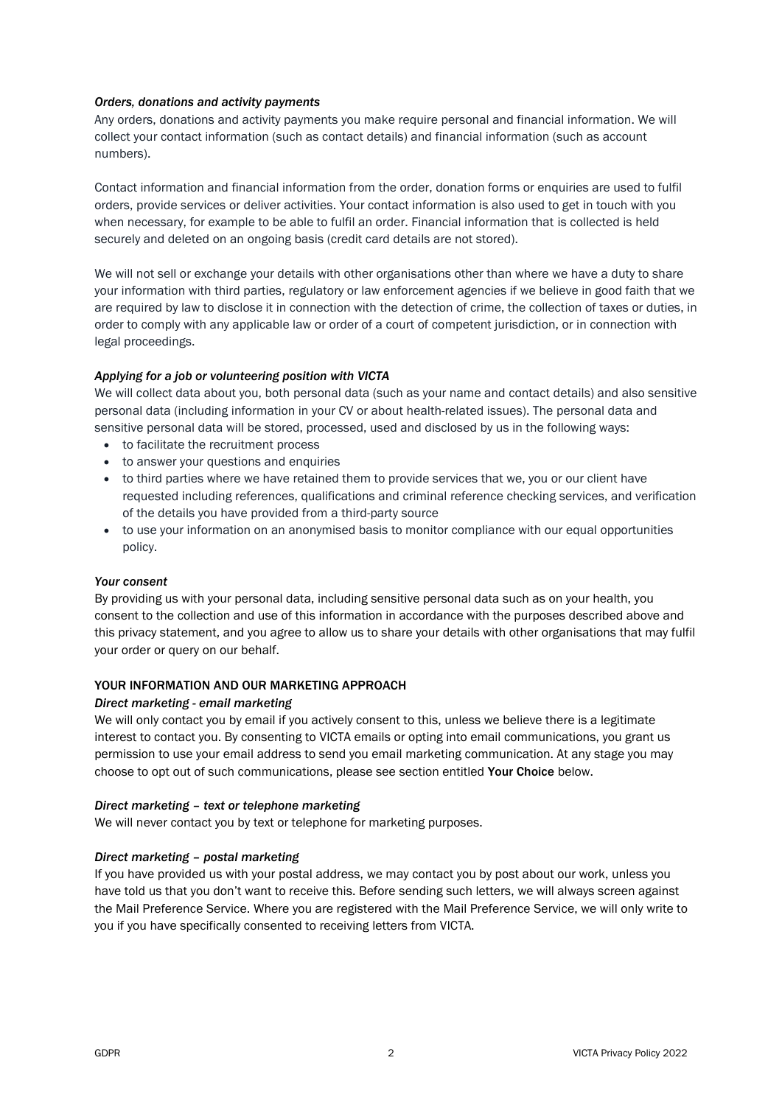### *Orders, donations and activity payments*

Any orders, donations and activity payments you make require personal and financial information. We will collect your contact information (such as contact details) and financial information (such as account numbers).

Contact information and financial information from the order, donation forms or enquiries are used to fulfil orders, provide services or deliver activities. Your contact information is also used to get in touch with you when necessary, for example to be able to fulfil an order. Financial information that is collected is held securely and deleted on an ongoing basis (credit card details are not stored).

We will not sell or exchange your details with other organisations other than where we have a duty to share your information with third parties, regulatory or law enforcement agencies if we believe in good faith that we are required by law to disclose it in connection with the detection of crime, the collection of taxes or duties, in order to comply with any applicable law or order of a court of competent jurisdiction, or in connection with legal proceedings.

# *Applying for a job or volunteering position with VICTA*

We will collect data about you, both personal data (such as your name and contact details) and also sensitive personal data (including information in your CV or about health-related issues). The personal data and sensitive personal data will be stored, processed, used and disclosed by us in the following ways:

- to facilitate the recruitment process
- to answer your questions and enquiries
- to third parties where we have retained them to provide services that we, you or our client have requested including references, qualifications and criminal reference checking services, and verification of the details you have provided from a third-party source
- to use your information on an anonymised basis to monitor compliance with our equal opportunities policy.

# *Your consent*

By providing us with your personal data, including sensitive personal data such as on your health, you consent to the collection and use of this information in accordance with the purposes described above and this privacy statement, and you agree to allow us to share your details with other organisations that may fulfil your order or query on our behalf.

# YOUR INFORMATION AND OUR MARKETING APPROACH

#### *Direct marketing - email marketing*

We will only contact you by email if you actively consent to this, unless we believe there is a legitimate interest to contact you. By consenting to VICTA emails or opting into email communications, you grant us permission to use your email address to send you email marketing communication. At any stage you may choose to opt out of such communications, please see section entitled Your Choice below.

#### *Direct marketing – text or telephone marketing*

We will never contact you by text or telephone for marketing purposes.

# *Direct marketing – postal marketing*

If you have provided us with your postal address, we may contact you by post about our work, unless you have told us that you don't want to receive this. Before sending such letters, we will always screen against the Mail Preference Service. Where you are registered with the Mail Preference Service, we will only write to you if you have specifically consented to receiving letters from VICTA.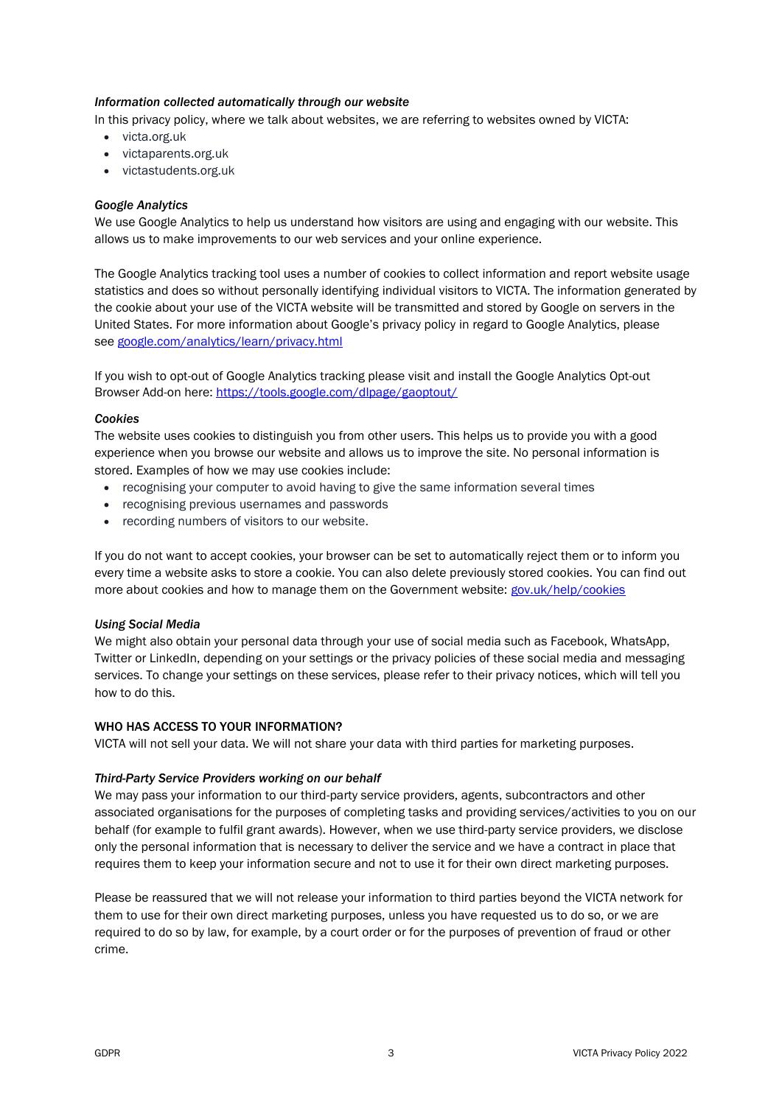### *Information collected automatically through our website*

In this privacy policy, where we talk about websites, we are referring to websites owned by VICTA:

- [victa.org.uk](https://victa.org.uk/)
- [victaparents.org.uk](https://www.victaparents.org.uk/)
- victastudents.org.uk

### *Google Analytics*

We use Google Analytics to help us understand how visitors are using and engaging with our website. This allows us to make improvements to our web services and your online experience.

The Google Analytics tracking tool uses a number of cookies to collect information and report website usage statistics and does so without personally identifying individual visitors to VICTA. The information generated by the cookie about your use of the VICTA website will be transmitted and stored by Google on servers in the United States. For more information about Google's privacy policy in regard to Google Analytics, please see [google.com/analytics/learn/privacy.html](https://support.google.com/analytics/answer/6004245)

If you wish to opt-out of Google Analytics tracking please visit and install the Google Analytics Opt-out Browser Add-on here: <https://tools.google.com/dlpage/gaoptout/>

#### *Cookies*

The website uses cookies to distinguish you from other users. This helps us to provide you with a good experience when you browse our website and allows us to improve the site. No personal information is stored. Examples of how we may use cookies include:

- recognising your computer to avoid having to give the same information several times
- recognising previous usernames and passwords
- recording numbers of visitors to our website.

If you do not want to accept cookies, your browser can be set to automatically reject them or to inform you every time a website asks to store a cookie. You can also delete previously stored cookies. You can find out more about cookies and how to manage them on the Government website: [gov.uk/help/cookies](https://www.gov.uk/help/cookies)

#### *Using Social Media*

We might also obtain your personal data through your use of social media such as Facebook, WhatsApp, Twitter or LinkedIn, depending on your settings or the privacy policies of these social media and messaging services. To change your settings on these services, please refer to their privacy notices, which will tell you how to do this.

### WHO HAS ACCESS TO YOUR INFORMATION?

VICTA will not sell your data. We will not share your data with third parties for marketing purposes.

#### *Third-Party Service Providers working on our behalf*

We may pass your information to our third-party service providers, agents, subcontractors and other associated organisations for the purposes of completing tasks and providing services/activities to you on our behalf (for example to fulfil grant awards). However, when we use third-party service providers, we disclose only the personal information that is necessary to deliver the service and we have a contract in place that requires them to keep your information secure and not to use it for their own direct marketing purposes.

Please be reassured that we will not release your information to third parties beyond the VICTA network for them to use for their own direct marketing purposes, unless you have requested us to do so, or we are required to do so by law, for example, by a court order or for the purposes of prevention of fraud or other crime.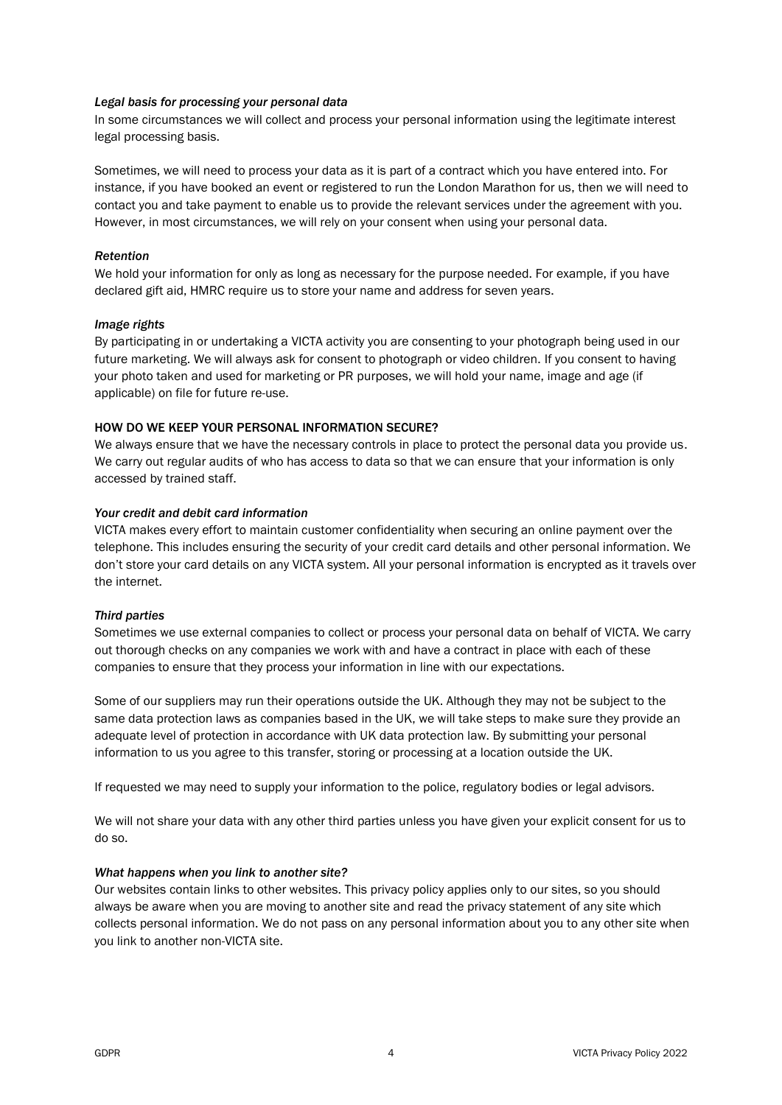### *Legal basis for processing your personal data*

In some circumstances we will collect and process your personal information using the legitimate interest legal processing basis.

Sometimes, we will need to process your data as it is part of a contract which you have entered into. For instance, if you have booked an event or registered to run the London Marathon for us, then we will need to contact you and take payment to enable us to provide the relevant services under the agreement with you. However, in most circumstances, we will rely on your consent when using your personal data.

### *Retention*

We hold your information for only as long as necessary for the purpose needed. For example, if you have declared gift aid, HMRC require us to store your name and address for seven years.

#### *Image rights*

By participating in or undertaking a VICTA activity you are consenting to your photograph being used in our future marketing. We will always ask for consent to photograph or video children. If you consent to having your photo taken and used for marketing or PR purposes, we will hold your name, image and age (if applicable) on file for future re-use.

### HOW DO WE KEEP YOUR PERSONAL INFORMATION SECURE?

We always ensure that we have the necessary controls in place to protect the personal data you provide us. We carry out regular audits of who has access to data so that we can ensure that your information is only accessed by trained staff.

### *Your credit and debit card information*

VICTA makes every effort to maintain customer confidentiality when securing an online payment over the telephone. This includes ensuring the security of your credit card details and other personal information. We don't store your card details on any VICTA system. All your personal information is encrypted as it travels over the internet.

#### *Third parties*

Sometimes we use external companies to collect or process your personal data on behalf of VICTA. We carry out thorough checks on any companies we work with and have a contract in place with each of these companies to ensure that they process your information in line with our expectations.

Some of our suppliers may run their operations outside the UK. Although they may not be subject to the same data protection laws as companies based in the UK, we will take steps to make sure they provide an adequate level of protection in accordance with UK data protection law. By submitting your personal information to us you agree to this transfer, storing or processing at a location outside the UK.

If requested we may need to supply your information to the police, regulatory bodies or legal advisors.

We will not share your data with any other third parties unless you have given your explicit consent for us to do so.

#### *What happens when you link to another site?*

Our websites contain links to other websites. This privacy policy applies only to our sites, so you should always be aware when you are moving to another site and read the privacy statement of any site which collects personal information. We do not pass on any personal information about you to any other site when you link to another non-VICTA site.